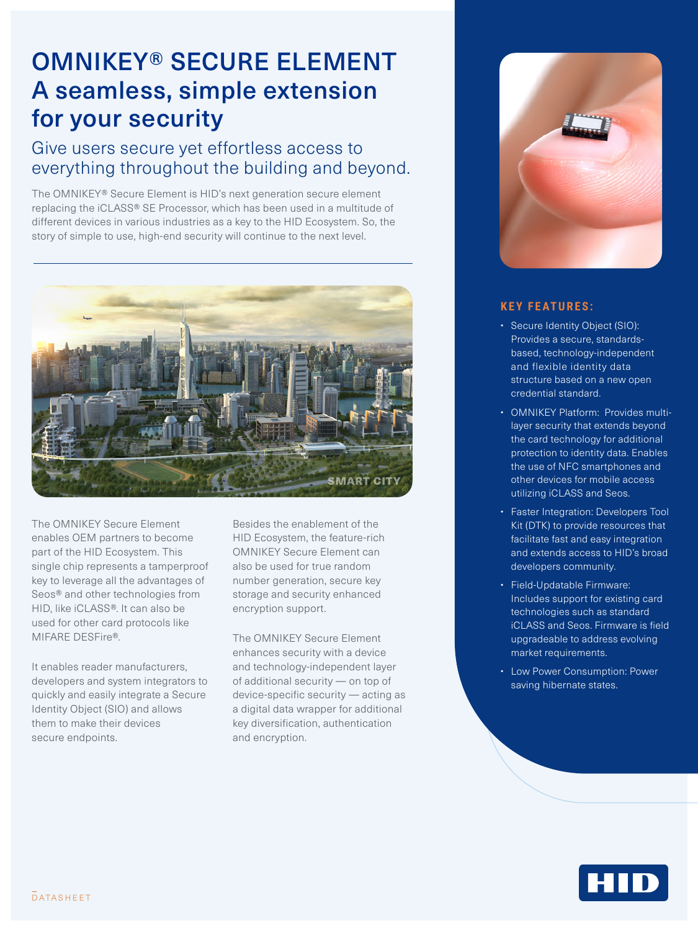## OMNIKEY® SECURE ELEMENT A seamless, simple extension for your security

## Give users secure yet effortless access to everything throughout the building and beyond.

The OMNIKEY® Secure Element is HID's next generation secure element replacing the iCLASS® SE Processor, which has been used in a multitude of different devices in various industries as a key to the HID Ecosystem. So, the story of simple to use, high-end security will continue to the next level.



The OMNIKEY Secure Element enables OEM partners to become part of the HID Ecosystem. This single chip represents a tamperproof key to leverage all the advantages of Seos® and other technologies from HID, like iCLASS®. It can also be used for other card protocols like MIFARE DESFire®.

It enables reader manufacturers, developers and system integrators to quickly and easily integrate a Secure Identity Object (SIO) and allows them to make their devices secure endpoints.

Besides the enablement of the HID Ecosystem, the feature-rich OMNIKEY Secure Element can also be used for true random number generation, secure key storage and security enhanced encryption support.

The OMNIKEY Secure Element enhances security with a device and technology-independent layer of additional security — on top of device-specific security — acting as a digital data wrapper for additional key diversification, authentication and encryption.



## **KEY FEATURES:**

- Secure Identity Object (SIO): Provides a secure, standardsbased, technology-independent and flexible identity data structure based on a new open credential standard.
- OMNIKEY Platform: Provides multilayer security that extends beyond the card technology for additional protection to identity data. Enables the use of NFC smartphones and other devices for mobile access utilizing iCLASS and Seos.
- Faster Integration: Developers Tool Kit (DTK) to provide resources that facilitate fast and easy integration and extends access to HID's broad developers community.
- Field-Updatable Firmware: Includes support for existing card technologies such as standard iCLASS and Seos. Firmware is field upgradeable to address evolving market requirements.
- Low Power Consumption: Power saving hibernate states.